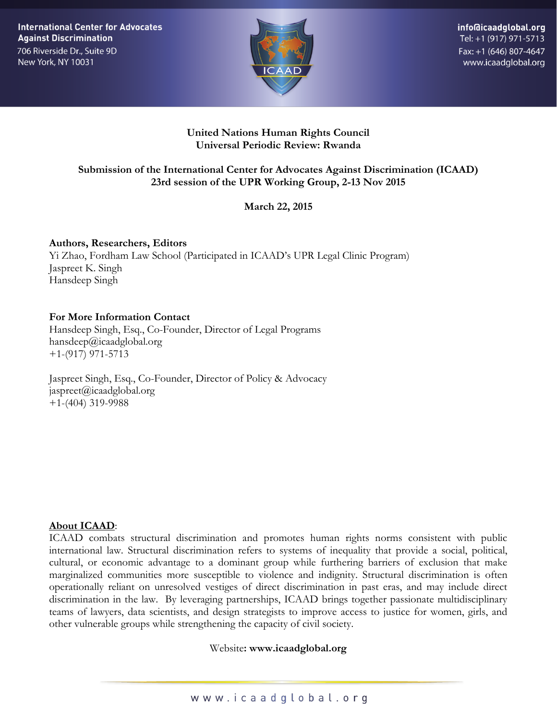**International Center for Advocates Against Discrimination** 706 Riverside Dr., Suite 9D New York, NY 10031



info@icaadglobal.org Tel: +1 (917) 971-5713 Fax: +1 (646) 807-4647 www.icaadglobal.org

#### **United Nations Human Rights Council Universal Periodic Review: Rwanda**

# **Submission of the International Center for Advocates Against Discrimination (ICAAD) 23rd session of the UPR Working Group, 2-13 Nov 2015**

**March 22, 2015**

**Authors, Researchers, Editors** Yi Zhao, Fordham Law School (Participated in ICAAD's UPR Legal Clinic Program) Jaspreet K. Singh Hansdeep Singh

#### **For More Information Contact**

Hansdeep Singh, Esq., Co-Founder, Director of Legal Programs hansdeep@icaadglobal.org +1-(917) 971-5713

Jaspreet Singh, Esq., Co-Founder, Director of Policy & Advocacy  $i$ aspreet $(a)$ icaadglobal.org +1-(404) 319-9988

#### **About ICAAD**:

ICAAD combats structural discrimination and promotes human rights norms consistent with public international law. Structural discrimination refers to systems of inequality that provide a social, political, cultural, or economic advantage to a dominant group while furthering barriers of exclusion that make marginalized communities more susceptible to violence and indignity. Structural discrimination is often operationally reliant on unresolved vestiges of direct discrimination in past eras, and may include direct discrimination in the law. By leveraging partnerships, ICAAD brings together passionate multidisciplinary teams of lawyers, data scientists, and design strategists to improve access to justice for women, girls, and other vulnerable groups while strengthening the capacity of civil society.

#### Website**: www.icaadglobal.org**

www.icaadglobal.org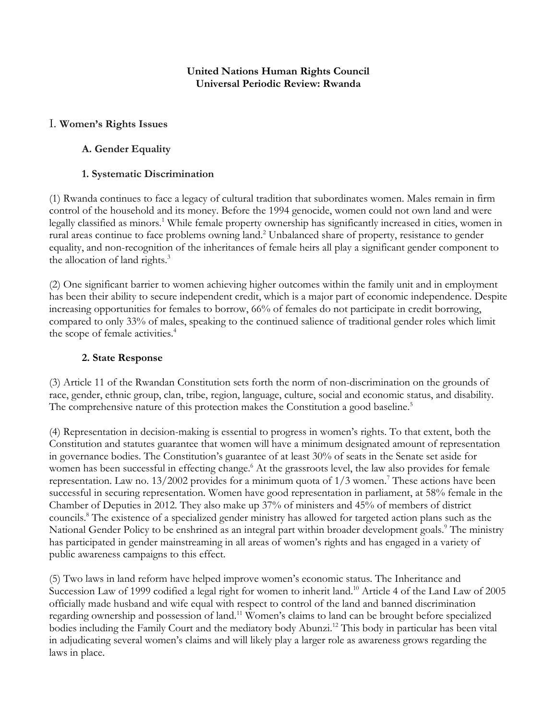#### **United Nations Human Rights Council Universal Periodic Review: Rwanda**

### I. **Women's Rights Issues**

#### **A. Gender Equality**

#### **1. Systematic Discrimination**

(1) Rwanda continues to face a legacy of cultural tradition that subordinates women. Males remain in firm control of the household and its money. Before the 1994 genocide, women could not own land and were legally classified as minors.1 While female property ownership has significantly increased in cities, women in rural areas continue to face problems owning land.<sup>2</sup> Unbalanced share of property, resistance to gender equality, and non-recognition of the inheritances of female heirs all play a significant gender component to the allocation of land rights.<sup>3</sup>

(2) One significant barrier to women achieving higher outcomes within the family unit and in employment has been their ability to secure independent credit, which is a major part of economic independence. Despite increasing opportunities for females to borrow, 66% of females do not participate in credit borrowing, compared to only 33% of males, speaking to the continued salience of traditional gender roles which limit the scope of female activities.<sup>4</sup>

#### **2. State Response**

(3) Article 11 of the Rwandan Constitution sets forth the norm of non-discrimination on the grounds of race, gender, ethnic group, clan, tribe, region, language, culture, social and economic status, and disability. The comprehensive nature of this protection makes the Constitution a good baseline.<sup>5</sup>

(4) Representation in decision-making is essential to progress in women's rights. To that extent, both the Constitution and statutes guarantee that women will have a minimum designated amount of representation in governance bodies. The Constitution's guarantee of at least 30% of seats in the Senate set aside for women has been successful in effecting change.<sup>6</sup> At the grassroots level, the law also provides for female representation. Law no.  $13/2002$  provides for a minimum quota of  $1/3$  women.<sup>7</sup> These actions have been successful in securing representation. Women have good representation in parliament, at 58% female in the Chamber of Deputies in 2012. They also make up 37% of ministers and 45% of members of district councils.8 The existence of a specialized gender ministry has allowed for targeted action plans such as the National Gender Policy to be enshrined as an integral part within broader development goals.<sup>9</sup> The ministry has participated in gender mainstreaming in all areas of women's rights and has engaged in a variety of public awareness campaigns to this effect.

(5) Two laws in land reform have helped improve women's economic status. The Inheritance and Succession Law of 1999 codified a legal right for women to inherit land.<sup>10</sup> Article 4 of the Land Law of 2005 officially made husband and wife equal with respect to control of the land and banned discrimination regarding ownership and possession of land.11 Women's claims to land can be brought before specialized bodies including the Family Court and the mediatory body Abunzi.<sup>12</sup> This body in particular has been vital in adjudicating several women's claims and will likely play a larger role as awareness grows regarding the laws in place.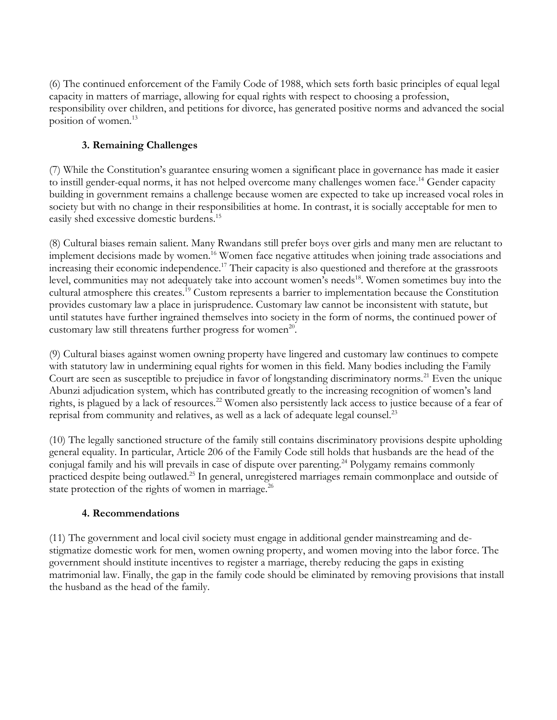(6) The continued enforcement of the Family Code of 1988, which sets forth basic principles of equal legal capacity in matters of marriage, allowing for equal rights with respect to choosing a profession, responsibility over children, and petitions for divorce, has generated positive norms and advanced the social position of women.<sup>13</sup>

# **3. Remaining Challenges**

(7) While the Constitution's guarantee ensuring women a significant place in governance has made it easier to instill gender-equal norms, it has not helped overcome many challenges women face.<sup>14</sup> Gender capacity building in government remains a challenge because women are expected to take up increased vocal roles in society but with no change in their responsibilities at home. In contrast, it is socially acceptable for men to easily shed excessive domestic burdens.<sup>15</sup>

(8) Cultural biases remain salient. Many Rwandans still prefer boys over girls and many men are reluctant to implement decisions made by women.16 Women face negative attitudes when joining trade associations and increasing their economic independence.<sup>17</sup> Their capacity is also questioned and therefore at the grassroots level, communities may not adequately take into account women's needs<sup>18</sup>. Women sometimes buy into the cultural atmosphere this creates.19 Custom represents a barrier to implementation because the Constitution provides customary law a place in jurisprudence. Customary law cannot be inconsistent with statute, but until statutes have further ingrained themselves into society in the form of norms, the continued power of customary law still threatens further progress for women<sup>20</sup>.

(9) Cultural biases against women owning property have lingered and customary law continues to compete with statutory law in undermining equal rights for women in this field. Many bodies including the Family Court are seen as susceptible to prejudice in favor of longstanding discriminatory norms.<sup>21</sup> Even the unique Abunzi adjudication system, which has contributed greatly to the increasing recognition of women's land rights, is plagued by a lack of resources.<sup>22</sup> Women also persistently lack access to justice because of a fear of reprisal from community and relatives, as well as a lack of adequate legal counsel.23

(10) The legally sanctioned structure of the family still contains discriminatory provisions despite upholding general equality. In particular, Article 206 of the Family Code still holds that husbands are the head of the conjugal family and his will prevails in case of dispute over parenting.<sup>24</sup> Polygamy remains commonly practiced despite being outlawed.25 In general, unregistered marriages remain commonplace and outside of state protection of the rights of women in marriage.<sup>26</sup>

# **4. Recommendations**

(11) The government and local civil society must engage in additional gender mainstreaming and destigmatize domestic work for men, women owning property, and women moving into the labor force. The government should institute incentives to register a marriage, thereby reducing the gaps in existing matrimonial law. Finally, the gap in the family code should be eliminated by removing provisions that install the husband as the head of the family.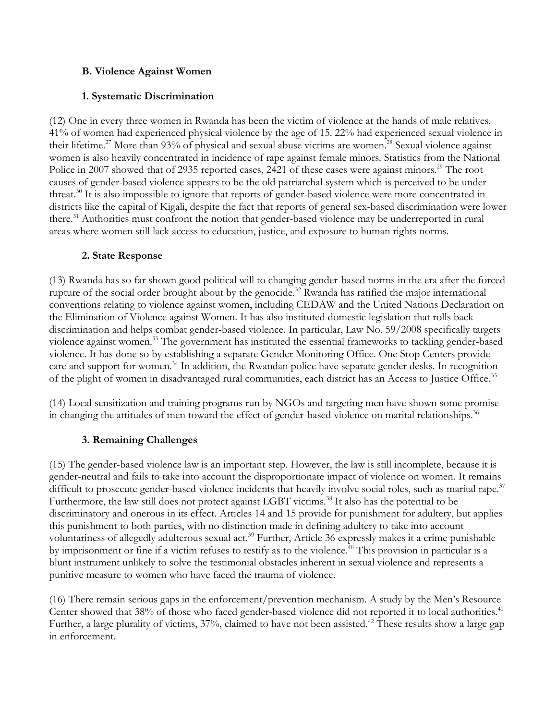#### **B. Violence Against Women**

#### **1. Systematic Discrimination**

(12) One in every three women in Rwanda has been the victim of violence at the hands of male relatives. 41% of women had experienced physical violence by the age of 15. 22% had experienced sexual violence in their lifetime.<sup>27</sup> More than 93% of physical and sexual abuse victims are women.<sup>28</sup> Sexual violence against women is also heavily concentrated in incidence of rape against female minors. Statistics from the National Police in 2007 showed that of 2935 reported cases, 2421 of these cases were against minors.<sup>29</sup> The root causes of gender-based violence appears to be the old patriarchal system which is perceived to be under threat. <sup>30</sup> It is also impossible to ignore that reports of gender-based violence were more concentrated in districts like the capital of Kigali, despite the fact that reports of general sex-based discrimination were lower there.<sup>31</sup> Authorities must confront the notion that gender-based violence may be underreported in rural areas where women still lack access to education, justice, and exposure to human rights norms.

#### **2. State Response**

(13) Rwanda has so far shown good political will to changing gender-based norms in the era after the forced rupture of the social order brought about by the genocide.<sup>32</sup> Rwanda has ratified the major international conventions relating to violence against women, including CEDAW and the United Nations Declaration on the Elimination of Violence against Women. It has also instituted domestic legislation that rolls back discrimination and helps combat gender-based violence. In particular, Law No. 59/2008 specifically targets violence against women.33 The government has instituted the essential frameworks to tackling gender-based violence. It has done so by establishing a separate Gender Monitoring Office. One Stop Centers provide care and support for women.<sup>34</sup> In addition, the Rwandan police have separate gender desks. In recognition of the plight of women in disadvantaged rural communities, each district has an Access to Justice Office.<sup>35</sup>

(14) Local sensitization and training programs run by NGOs and targeting men have shown some promise in changing the attitudes of men toward the effect of gender-based violence on marital relationships.<sup>36</sup>

# **3. Remaining Challenges**

(15) The gender-based violence law is an important step. However, the law is still incomplete, because it is gender-neutral and fails to take into account the disproportionate impact of violence on women. It remains difficult to prosecute gender-based violence incidents that heavily involve social roles, such as marital rape.<sup>37</sup> Furthermore, the law still does not protect against LGBT victims.<sup>38</sup> It also has the potential to be discriminatory and onerous in its effect. Articles 14 and 15 provide for punishment for adultery, but applies this punishment to both parties, with no distinction made in defining adultery to take into account voluntariness of allegedly adulterous sexual act.<sup>39</sup> Further, Article 36 expressly makes it a crime punishable by imprisonment or fine if a victim refuses to testify as to the violence.<sup>40</sup> This provision in particular is a blunt instrument unlikely to solve the testimonial obstacles inherent in sexual violence and represents a punitive measure to women who have faced the trauma of violence.

(16) There remain serious gaps in the enforcement/prevention mechanism. A study by the Men's Resource Center showed that 38% of those who faced gender-based violence did not reported it to local authorities.<sup>41</sup> Further, a large plurality of victims, 37%, claimed to have not been assisted.<sup>42</sup> These results show a large gap in enforcement.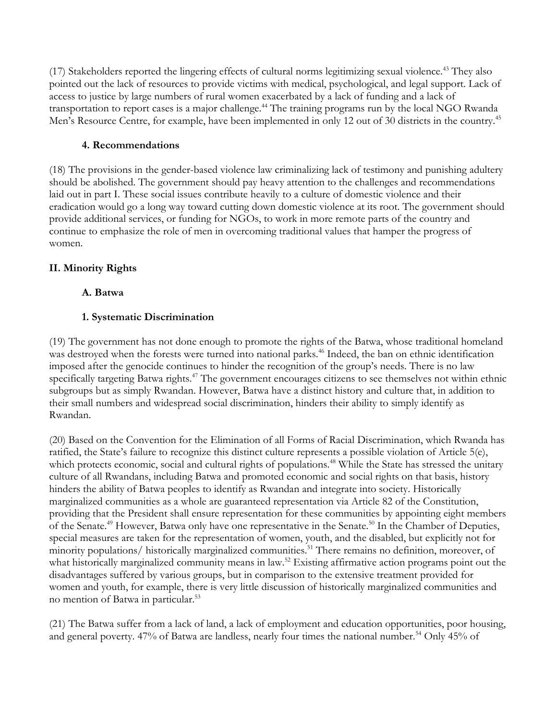(17) Stakeholders reported the lingering effects of cultural norms legitimizing sexual violence.43 They also pointed out the lack of resources to provide victims with medical, psychological, and legal support. Lack of access to justice by large numbers of rural women exacerbated by a lack of funding and a lack of transportation to report cases is a major challenge.<sup>44</sup> The training programs run by the local NGO Rwanda Men's Resource Centre, for example, have been implemented in only 12 out of 30 districts in the country.<sup>45</sup>

#### **4. Recommendations**

(18) The provisions in the gender-based violence law criminalizing lack of testimony and punishing adultery should be abolished. The government should pay heavy attention to the challenges and recommendations laid out in part I. These social issues contribute heavily to a culture of domestic violence and their eradication would go a long way toward cutting down domestic violence at its root. The government should provide additional services, or funding for NGOs, to work in more remote parts of the country and continue to emphasize the role of men in overcoming traditional values that hamper the progress of women.

# **II. Minority Rights**

# **A. Batwa**

# **1. Systematic Discrimination**

(19) The government has not done enough to promote the rights of the Batwa, whose traditional homeland was destroyed when the forests were turned into national parks.<sup>46</sup> Indeed, the ban on ethnic identification imposed after the genocide continues to hinder the recognition of the group's needs. There is no law specifically targeting Batwa rights.<sup>47</sup> The government encourages citizens to see themselves not within ethnic subgroups but as simply Rwandan. However, Batwa have a distinct history and culture that, in addition to their small numbers and widespread social discrimination, hinders their ability to simply identify as Rwandan.

(20) Based on the Convention for the Elimination of all Forms of Racial Discrimination, which Rwanda has ratified, the State's failure to recognize this distinct culture represents a possible violation of Article 5(e), which protects economic, social and cultural rights of populations.<sup>48</sup> While the State has stressed the unitary culture of all Rwandans, including Batwa and promoted economic and social rights on that basis, history hinders the ability of Batwa peoples to identify as Rwandan and integrate into society. Historically marginalized communities as a whole are guaranteed representation via Article 82 of the Constitution, providing that the President shall ensure representation for these communities by appointing eight members of the Senate.<sup>49</sup> However, Batwa only have one representative in the Senate.<sup>50</sup> In the Chamber of Deputies, special measures are taken for the representation of women, youth, and the disabled, but explicitly not for minority populations/ historically marginalized communities.<sup>51</sup> There remains no definition, moreover, of what historically marginalized community means in law.<sup>52</sup> Existing affirmative action programs point out the disadvantages suffered by various groups, but in comparison to the extensive treatment provided for women and youth, for example, there is very little discussion of historically marginalized communities and no mention of Batwa in particular.53

(21) The Batwa suffer from a lack of land, a lack of employment and education opportunities, poor housing, and general poverty. 47% of Batwa are landless, nearly four times the national number.<sup>54</sup> Only 45% of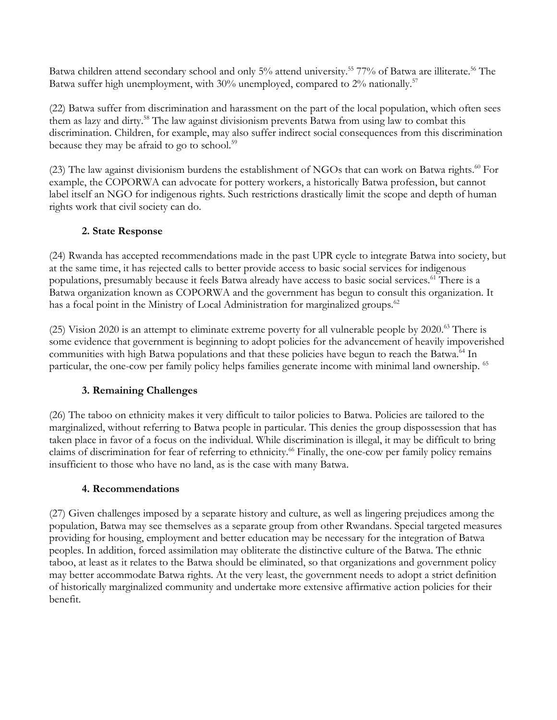Batwa children attend secondary school and only 5% attend university.<sup>55</sup> 77% of Batwa are illiterate.<sup>56</sup> The Batwa suffer high unemployment, with 30% unemployed, compared to  $2\%$  nationally.<sup>57</sup>

(22) Batwa suffer from discrimination and harassment on the part of the local population, which often sees them as lazy and dirty.<sup>58</sup> The law against divisionism prevents Batwa from using law to combat this discrimination. Children, for example, may also suffer indirect social consequences from this discrimination because they may be afraid to go to school.<sup>59</sup>

(23) The law against divisionism burdens the establishment of NGOs that can work on Batwa rights.<sup>60</sup> For example, the COPORWA can advocate for pottery workers, a historically Batwa profession, but cannot label itself an NGO for indigenous rights. Such restrictions drastically limit the scope and depth of human rights work that civil society can do.

# **2. State Response**

(24) Rwanda has accepted recommendations made in the past UPR cycle to integrate Batwa into society, but at the same time, it has rejected calls to better provide access to basic social services for indigenous populations, presumably because it feels Batwa already have access to basic social services.<sup>61</sup> There is a Batwa organization known as COPORWA and the government has begun to consult this organization. It has a focal point in the Ministry of Local Administration for marginalized groups.<sup>62</sup>

(25) Vision 2020 is an attempt to eliminate extreme poverty for all vulnerable people by 2020.<sup>63</sup> There is some evidence that government is beginning to adopt policies for the advancement of heavily impoverished communities with high Batwa populations and that these policies have begun to reach the Batwa.<sup>64</sup> In particular, the one-cow per family policy helps families generate income with minimal land ownership. 65

# **3. Remaining Challenges**

(26) The taboo on ethnicity makes it very difficult to tailor policies to Batwa. Policies are tailored to the marginalized, without referring to Batwa people in particular. This denies the group dispossession that has taken place in favor of a focus on the individual. While discrimination is illegal, it may be difficult to bring claims of discrimination for fear of referring to ethnicity.<sup>66</sup> Finally, the one-cow per family policy remains insufficient to those who have no land, as is the case with many Batwa.

# **4. Recommendations**

(27) Given challenges imposed by a separate history and culture, as well as lingering prejudices among the population, Batwa may see themselves as a separate group from other Rwandans. Special targeted measures providing for housing, employment and better education may be necessary for the integration of Batwa peoples. In addition, forced assimilation may obliterate the distinctive culture of the Batwa. The ethnic taboo, at least as it relates to the Batwa should be eliminated, so that organizations and government policy may better accommodate Batwa rights. At the very least, the government needs to adopt a strict definition of historically marginalized community and undertake more extensive affirmative action policies for their benefit.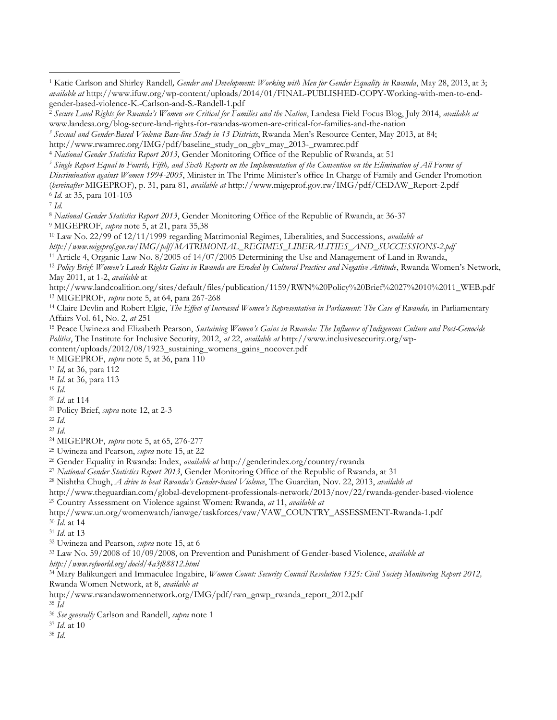*Sexual and Gender-Based Violence Base-line Study in 13 Districts*, Rwanda Men's Resource Center, May 2013, at 84;

*Discrimination against Women 1994-2005*, Minister in The Prime Minister's office In Charge of Family and Gender Promotion

 $\overline{a}$ 

*National Gender Statistics Report 2013*, Gender Monitoring Office of the Republic of Rwanda, at 36-37

MIGEPROF, *supra* note 5, at 21, para 35,38

Law No. 22/99 of 12/11/1999 regarding Matrimonial Regimes, Liberalities, and Successions, *available at* 

*http://www.migeprof.gov.rw/IMG/pdf/MATRIMONIAL\_REGIMES\_LIBERALITIES\_AND\_SUCCESSIONS-2.pdf*

Article 4, Organic Law No. 8/2005 of 14/07/2005 Determining the Use and Management of Land in Rwanda,

 *Policy Brief: Women's Lands Rights Gains in Rwanda are Eroded by Cultural Practices and Negative Attitude*, Rwanda Women's Network, May 2011, at 1-2, *available* at

http://www.landcoalition.org/sites/default/files/publication/1159/RWN%20Policy%20Brief%2027%2010%2011\_WEB.pdf MIGEPROF, *supra* note 5, at 64, para 267-268

 Claire Devlin and Robert Elgie, *The Effect of Increased Women's Representation in Parliament: The Case of Rwanda,* in Parliamentary Affairs Vol. 61, No. 2, *at* 251

 Peace Uwineza and Elizabeth Pearson, *Sustaining Women's Gains in Rwanda: The Influence of Indigenous Culture and Post-Genocide Politics*, The Institute for Inclusive Security, 2012, *at* 22, *available at* http://www.inclusivesecurity.org/wpcontent/uploads/2012/08/1923\_sustaining\_womens\_gains\_nocover.pdf

MIGEPROF, *supra* note 5, at 36, para 110

*Id,* at 36, para 112

*Id.* at 36, para 113

- *Id.*
- *Id.* at 114
- Policy Brief, *supra* note 12, at 2-3
- *Id.*

*Id.*

MIGEPROF, *supra* note 5, at 65, 276-277

Uwineza and Pearson, *supra* note 15, at 22

Gender Equality in Rwanda: Index, *available at* http://genderindex.org/country/rwanda

*National Gender Statistics Report 2013*, Gender Monitoring Office of the Republic of Rwanda, at 31

Nishtha Chugh, *A drive to beat Rwanda's Gender-based Violence*, The Guardian, Nov. 22, 2013, *available at*

http://www.theguardian.com/global-development-professionals-network/2013/nov/22/rwanda-gender-based-violence

Country Assessment on Violence against Women: Rwanda, *at* 11, *available at*

http://www.un.org/womenwatch/ianwge/taskforces/vaw/VAW\_COUNTRY\_ASSESSMENT-Rwanda-1.pdf *Id.* at 14

*Id.* at 13

Uwineza and Pearson, *supra* note 15, at 6

Law No. 59/2008 of 10/09/2008, on Prevention and Punishment of Gender-based Violence, *available at* 

*http://www.refworld.org/docid/4a3f88812.html*

 Mary Balikungeri and Immaculee Ingabire, *Women Count: Security Council Resolution 1325: Civil Society Monitoring Report 2012,* Rwanda Women Network, at 8, *available at*

http://www.rwandawomennetwork.org/IMG/pdf/rwn\_gnwp\_rwanda\_report\_2012.pdf

*Id*

*See generally* Carlson and Randell, *supra* note 1

*Id.* at 10

*Id.*

 Katie Carlson and Shirley Randell*, Gender and Development: Working with Men for Gender Equality in Rwanda*, May 28, 2013, at 3; *available at* http://www.ifuw.org/wp-content/uploads/2014/01/FINAL-PUBLISHED-COPY-Working-with-men-to-endgender-based-violence-K.-Carlson-and-S.-Randell-1.pdf

 *Secure Land Rights for Rwanda's Women are Critical for Families and the Nation*, Landesa Field Focus Blog, July 2014, *available at* www.landesa.org/blog-secure*-*land-rights-for-rwandas-women-are-critical-for-families-and-the-nation

http://www.rwamrec.org/IMG/pdf/baseline\_study\_on\_gbv\_may\_2013-\_rwamrec.pdf

*National Gender Statistics Report 2013,* Gender Monitoring Office of the Republic of Rwanda, at 51

*Single Report Equal to Fourth, Fifth, and Sixth Reports on the Implementation of the Convention on the Elimination of All Forms of* 

<sup>(</sup>*hereinafter* MIGEPROF), p. 31, para 81, *available at* http://www.migeprof.gov.rw/IMG/pdf/CEDAW\_Report-2.pdf *Id.* at 35, para 101-103

*Id.*